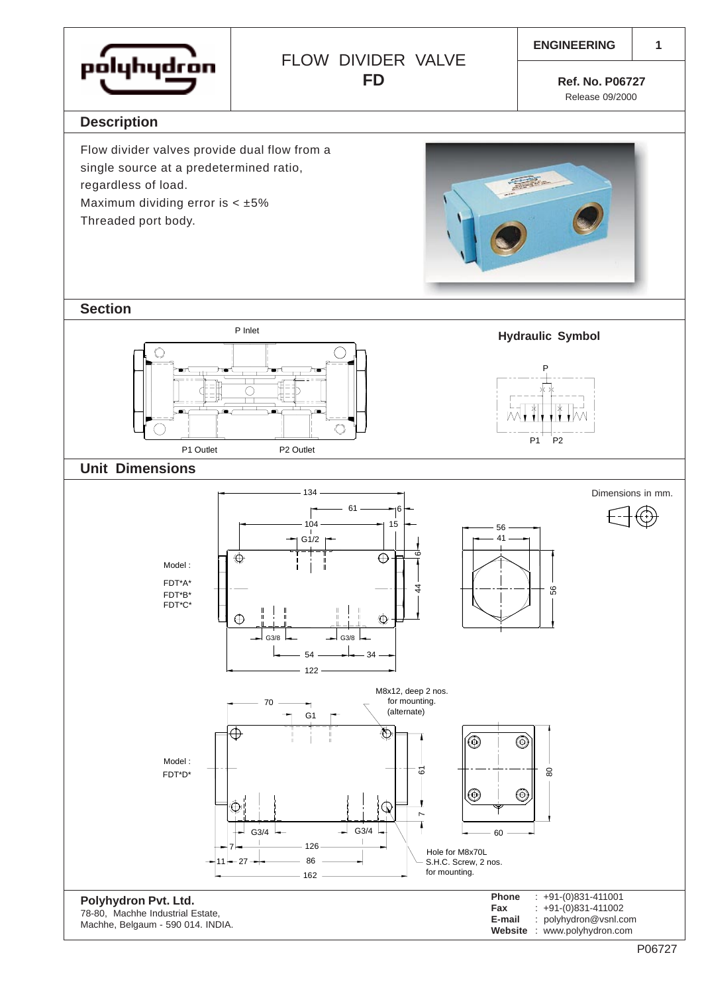

P06727